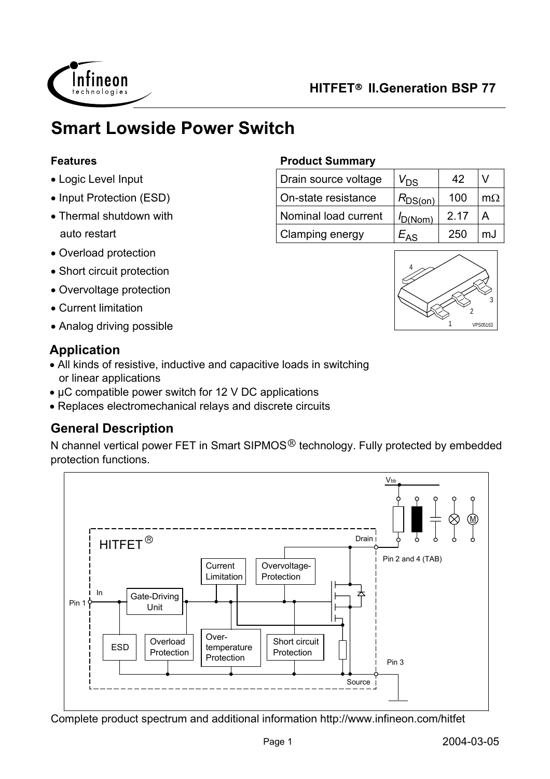

# **Smart Lowside Power Switch**

#### **Features**

- Logic Level Input
- Input Protection (ESD)
- Thermal shutdown with auto restart
- Overload protection
- Short circuit protection
- Overvoltage protection
- Current limitation
- Analog driving possible 1 VPS05163

### **Application**

- All kinds of resistive, inductive and capacitive loads in switching or linear applications
- µC compatible power switch for 12 V DC applications
- Replaces electromechanical relays and discrete circuits

## **General Description**

N channel vertical power FET in Smart SIPMOS<sup>®</sup> technology. Fully protected by embedded protection functions.



Complete product spectrum and additional information http://www.infineon.com/hitfet

#### **Product Summary**

| Drain source voltage | V <sub>DS</sub> | 42   |     |
|----------------------|-----------------|------|-----|
| On-state resistance  | $R_{DS(on)}$    | 100  | m() |
| Nominal load current | $I_{D(Nom)}$    | 2.17 |     |
| Clamping energy      | $E_{AS}$        | 250  | m.I |

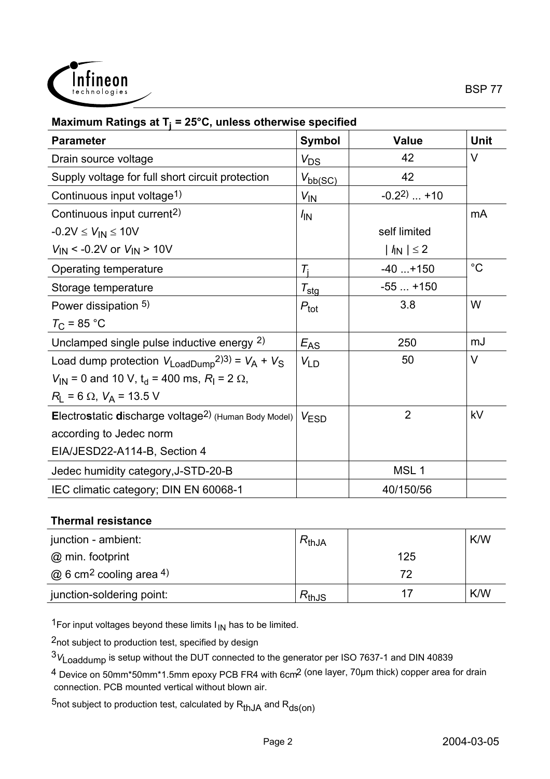

| <b>Parameter</b>                                                                     | <b>Symbol</b>        | <b>Value</b>     | <b>Unit</b> |
|--------------------------------------------------------------------------------------|----------------------|------------------|-------------|
| Drain source voltage                                                                 | $V_{DS}$             | 42               | $\vee$      |
| Supply voltage for full short circuit protection                                     | $V_{\text{bb}(SC)}$  | 42               |             |
| Continuous input voltage <sup>1)</sup>                                               | $V_{\text{IN}}$      | $-0.2^{2}$ +10   |             |
| Continuous input current <sup>2)</sup>                                               | $\sqrt{N}$           |                  | mA          |
| $-0.2V \le V_{IN} \le 10V$                                                           |                      | self limited     |             |
| $V_{\text{IN}}$ < -0.2V or $V_{\text{IN}}$ > 10V                                     |                      | $ I_{N}  \leq 2$ |             |
| Operating temperature                                                                | $T_i$                | $-40+150$        | $^{\circ}C$ |
| Storage temperature                                                                  | $\tau_{\text{stg}}$  | $-55+150$        |             |
| Power dissipation 5)                                                                 | $P_{\text{tot}}$     | 3.8              | W           |
| $T_{C}$ = 85 °C                                                                      |                      |                  |             |
| Unclamped single pulse inductive energy 2)                                           | $E_{A\underline{S}}$ | 250              | mJ          |
| Load dump protection $V_{\text{LoadDump}}^{2(3)} = V_A + V_S$                        | $V_{LD}$             | 50               | V           |
| $V_{\text{IN}}$ = 0 and 10 V, t <sub>d</sub> = 400 ms, R <sub>I</sub> = 2 $\Omega$ , |                      |                  |             |
| $R_{L}$ = 6 $\Omega$ , $V_{A}$ = 13.5 V                                              |                      |                  |             |
| Electrostatic discharge voltage <sup>2)</sup> (Human Body Model)                     | V <sub>ESD</sub>     | 2                | kV          |
| according to Jedec norm                                                              |                      |                  |             |
| EIA/JESD22-A114-B, Section 4                                                         |                      |                  |             |
| Jedec humidity category, J-STD-20-B                                                  |                      | MSL <sub>1</sub> |             |
| IEC climatic category; DIN EN 60068-1                                                |                      | 40/150/56        |             |

#### **Maximum Ratings at Tj = 25°C, unless otherwise specified**

#### **Thermal resistance**

| junction - ambient:                        | $R_{thJA}$ |     | K/W |
|--------------------------------------------|------------|-----|-----|
| @ min. footprint                           |            | 125 |     |
| $\omega$ 6 cm <sup>2</sup> cooling area 4) |            | 72  |     |
| junction-soldering point:                  | $R_{thJS}$ |     | K/W |

 $1$ For input voltages beyond these limits  $I_{1N}$  has to be limited.

2not subject to production test, specified by design

<sup>3</sup>*V*Loaddump is setup without the DUT connected to the generator per ISO 7637-1 and DIN 40839

4 Device on 50mm\*50mm\*1.5mm epoxy PCB FR4 with 6cm2 (one layer, 70µm thick) copper area for drain connection. PCB mounted vertical without blown air.

5not subject to production test, calculated by  $R_{thJA}$  and  $R_{ds(on)}$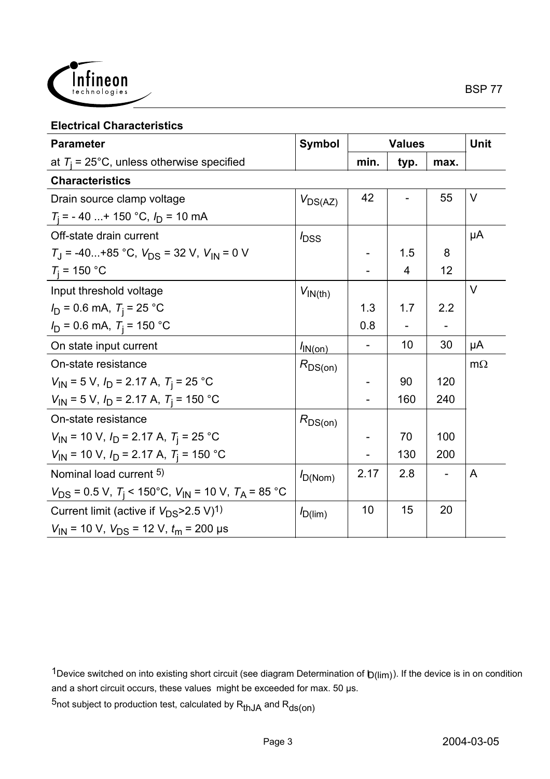

#### **Electrical Characteristics**

| <b>Parameter</b>                                                        | <b>Symbol</b>       | <b>Values</b> |                | <b>Unit</b> |           |
|-------------------------------------------------------------------------|---------------------|---------------|----------------|-------------|-----------|
| at $T_i$ = 25°C, unless otherwise specified                             |                     | min.          | typ.           | max.        |           |
| <b>Characteristics</b>                                                  |                     |               |                |             |           |
| Drain source clamp voltage                                              | $V_{DS(AZ)}$        | 42            |                | 55          | $\vee$    |
| $T_i$ = -40  +150 °C, $I_D$ = 10 mA                                     |                     |               |                |             |           |
| Off-state drain current                                                 | $I_{\text{DSS}}$    |               |                |             | μA        |
| $T_{\rm J}$ = -40+85 °C, $V_{\rm DS}$ = 32 V, $V_{\rm IN}$ = 0 V        |                     |               | 1.5            | 8           |           |
| $T_i = 150 °C$                                                          |                     |               | $\overline{4}$ | 12          |           |
| Input threshold voltage                                                 | $V_{IN(th)}$        |               |                |             | V         |
| $I_D = 0.6$ mA, $T_i = 25$ °C                                           |                     | 1.3           | 1.7            | 2.2         |           |
| $I_D = 0.6$ mA, $T_i = 150$ °C                                          |                     | 0.8           |                |             |           |
| On state input current                                                  | $I_{\text{IN(On)}}$ |               | 10             | 30          | μA        |
| On-state resistance                                                     | $R_{DS(on)}$        |               |                |             | $m\Omega$ |
| $V_{\text{IN}}$ = 5 V, $I_{\text{D}}$ = 2.17 A, $T_{\text{i}}$ = 25 °C  |                     |               | 90             | 120         |           |
| $V_{1N}$ = 5 V, $I_D$ = 2.17 A, $T_i$ = 150 °C                          |                     |               | 160            | 240         |           |
| On-state resistance                                                     | $R_{DS(on)}$        |               |                |             |           |
| $V_{\text{IN}}$ = 10 V, $I_{\text{D}}$ = 2.17 A, $T_{\text{i}}$ = 25 °C |                     |               | 70             | 100         |           |
| $V_{IN}$ = 10 V, $I_D$ = 2.17 A, $T_i$ = 150 °C                         |                     |               | 130            | 200         |           |
| Nominal load current 5)                                                 | $I_{D(Nom)}$        | 2.17          | 2.8            |             | A         |
| $V_{DS}$ = 0.5 V, $T_i$ < 150°C, $V_{IN}$ = 10 V, $T_A$ = 85 °C         |                     |               |                |             |           |
| Current limit (active if $V_{DS}$ >2.5 V) <sup>1)</sup>                 | $I_{D(lim)}$        | 10            | 15             | 20          |           |
| $V_{\text{IN}}$ = 10 V, $V_{\text{DS}}$ = 12 V, $t_{\text{m}}$ = 200 µs |                     |               |                |             |           |

1Device switched on into existing short circuit (see diagram Determination of  $b(lim)$ ). If the device is in on condition and a short circuit occurs, these values might be exceeded for max. 50 µs.

 $5$ not subject to production test, calculated by  $R_{thJA}$  and  $R_{ds(on)}$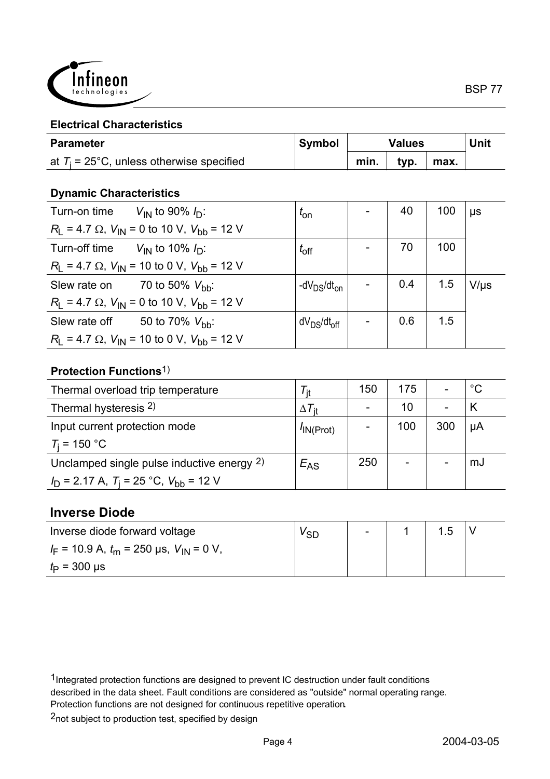

#### **Electrical Characteristics**

| <b>Parameter</b>                            | <b>Symbol</b> | <b>Values</b> |      | <b>Unit</b> |  |
|---------------------------------------------|---------------|---------------|------|-------------|--|
| at $T_i$ = 25°C, unless otherwise specified |               | min.          | typ. | max.        |  |

#### **Dynamic Characteristics**

| Turn-on time $V_{IN}$ to 90% $I_D$ :                         | $t_{\rm on}$                        | 40  | 100 | $\mu s$   |
|--------------------------------------------------------------|-------------------------------------|-----|-----|-----------|
| $R_1$ = 4.7 $\Omega$ , $V_{1N}$ = 0 to 10 V, $V_{bb}$ = 12 V |                                     |     |     |           |
| Turn-off time $V_{\text{IN}}$ to 10% $I_{\text{D}}$ :        | $t_{\rm off}$                       | 70  | 100 |           |
| $R_1 = 4.7 \Omega$ , $V_{1N} = 10$ to 0 V, $V_{1N} = 12$ V   |                                     |     |     |           |
| Slew rate on $70$ to 50% $V_{\text{bh}}$ :                   | -dV $_{DS}/dt_{on}$                 | 0.4 | 1.5 | $V/\mu s$ |
| $R_1$ = 4.7 $\Omega$ , $V_{1N}$ = 0 to 10 V, $V_{bb}$ = 12 V |                                     |     |     |           |
| Slew rate off 50 to 70% $V_{\text{bh}}$ :                    | dV <sub>DS</sub> /dt <sub>off</sub> | 0.6 | 1.5 |           |
| $R_1 = 4.7 \Omega$ , $V_{1N} = 10$ to 0 V, $V_{1N} = 12$ V   |                                     |     |     |           |

#### **Protection Functions**1)

| Thermal overload trip temperature              | ' it                 | 150 | 175                      |     | $^{\circ}C$ |
|------------------------------------------------|----------------------|-----|--------------------------|-----|-------------|
| Thermal hysteresis 2)                          | $\Delta T_{\rm{it}}$ |     | 10                       |     |             |
| Input current protection mode                  | $^{\prime}$ IN(Prot) |     | 100                      | 300 | μA          |
| $T_i = 150 °C$                                 |                      |     |                          |     |             |
| Unclamped single pulse inductive energy 2)     | $E_{AS}$             | 250 | $\overline{\phantom{a}}$ |     | mJ          |
| $I_D$ = 2.17 A, $T_i$ = 25 °C, $V_{bb}$ = 12 V |                      |     |                          |     |             |

#### **Inverse Diode**

| Inverse diode forward voltage                   | <sup>v</sup> SD | $\sim$ | $\overline{5}$ |  |
|-------------------------------------------------|-----------------|--------|----------------|--|
| $I_F$ = 10.9 A, $t_m$ = 250 µs, $V_{IN}$ = 0 V, |                 |        |                |  |
| $t_{\rm p}$ = 300 µs                            |                 |        |                |  |

<sup>1</sup>Integrated protection functions are designed to prevent IC destruction under fault conditions

described in the data sheet. Fault conditions are considered as "outside" normal operating range.

Protection functions are not designed for continuous repetitive operation**.**

<sup>2</sup>not subject to production test, specified by design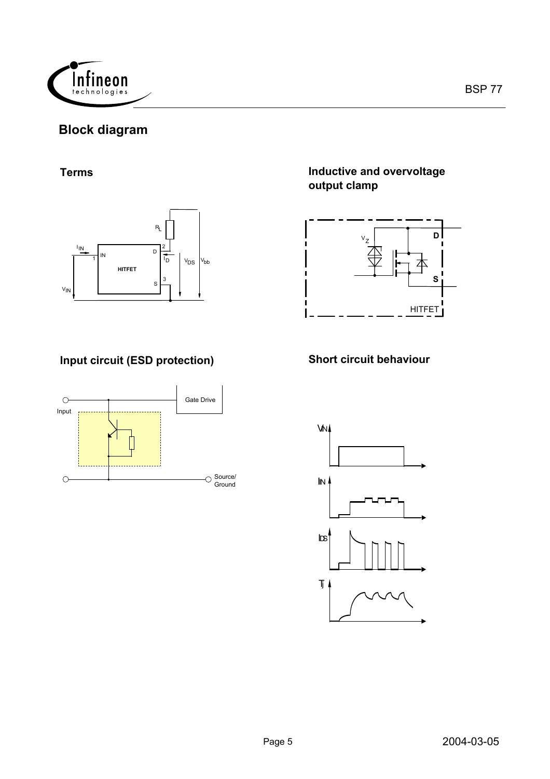

## **Block diagram**

#### **Terms**



## **Input circuit (ESD protection) Short circuit behaviour**



#### **Inductive and overvoltage output clamp**



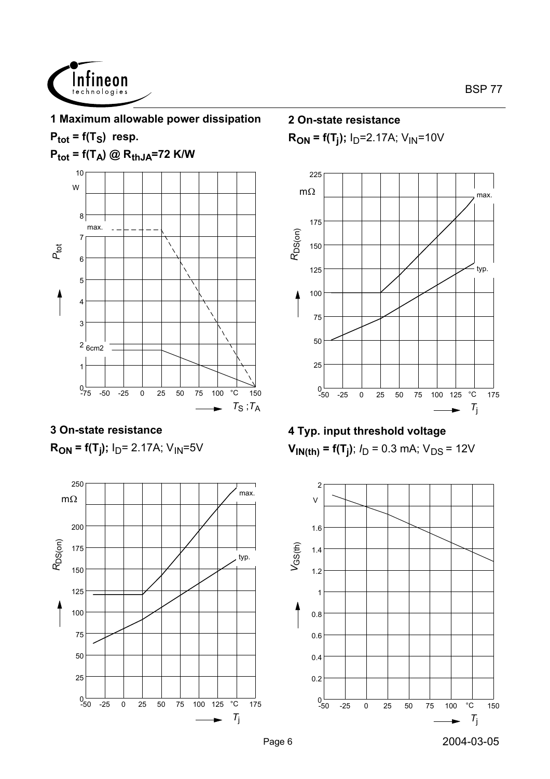

## **1 Maximum allowable power dissipation**

 $P_{\text{tot}} = f(T_S)$  resp.

 $P_{tot} = f(T_A) \textcircled{R}_{thJA} = 72 \text{ K/W}$ 



## **3 On-state resistance**

**R<sub>ON</sub>** = f(T<sub>j</sub>); I<sub>D</sub>= 2.17A; V<sub>IN</sub>=5V



**2 On-state resistance**

 $R_{ON}$  = f(T<sub>i</sub>);  $I_D$ =2.17A;  $V_{IN}$ =10V



## **4 Typ. input threshold voltage**  $V_{\textsf{IN}(\textsf{th})}$  = f(T<sub>j</sub>); *I*<sub>D</sub> = 0.3 mA; V<sub>DS</sub> = 12V

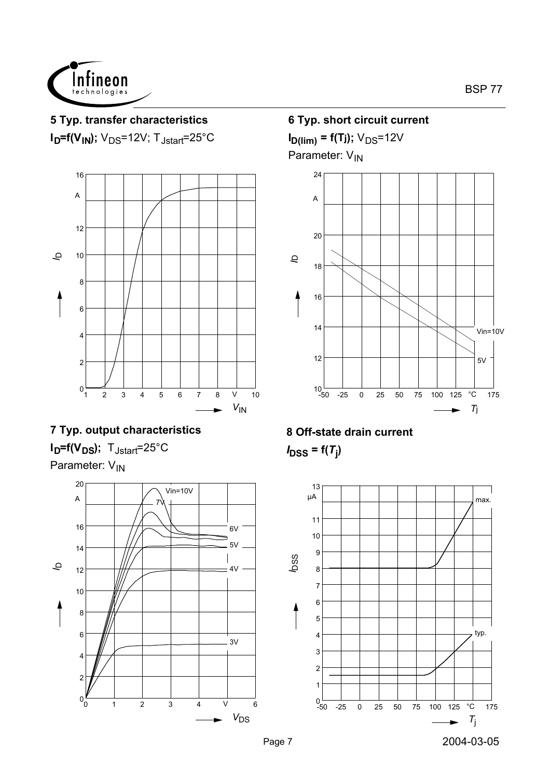

# **5 Typ. transfer characteristics**

 $I<sub>D</sub>=f(V<sub>IN</sub>)$ ;  $V<sub>DS</sub>=12V$ ; T<sub>Jstart</sub>=25°C



## **7 Typ. output characteristics**  $I_D = f(V_{DS})$ ; T<sub>Jstart</sub>=25°C Parameter: V<sub>IN</sub>



**6 Typ. short circuit current**  $I_{D(lim)} = f(T_j); V_{DS} = 12V$ 

Parameter: V<sub>IN</sub>



## **8 Off-state drain current** *I***DSS = f(***T***<sup>j</sup> )**

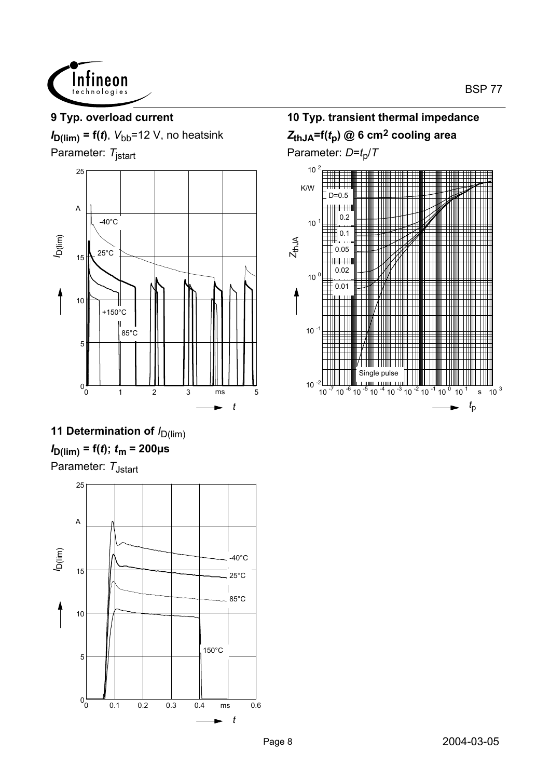

## **9 Typ. overload current**

*I* **D(lim) = f(***t***)**, *V*bb=12 V, no heatsink

Parameter: *T*jstart



# **11 Determination of**  $I_{D(lim)}$ *I* **D(lim) = f(***t***);** *t***m = 200µs**

Parameter: T<sub>Jstart</sub>



## **10 Typ. transient thermal impedance** *Z***thJA=f(***t***p) @ 6 cm2 cooling area** Parameter:  $D=t_p/T$

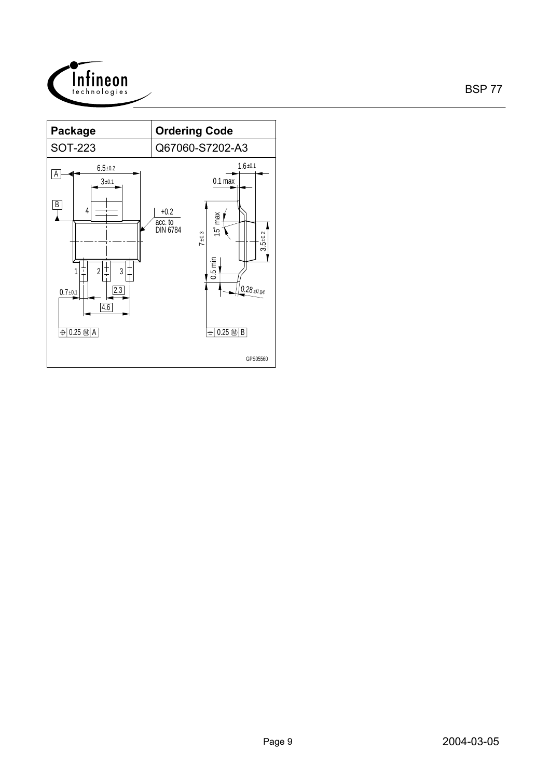